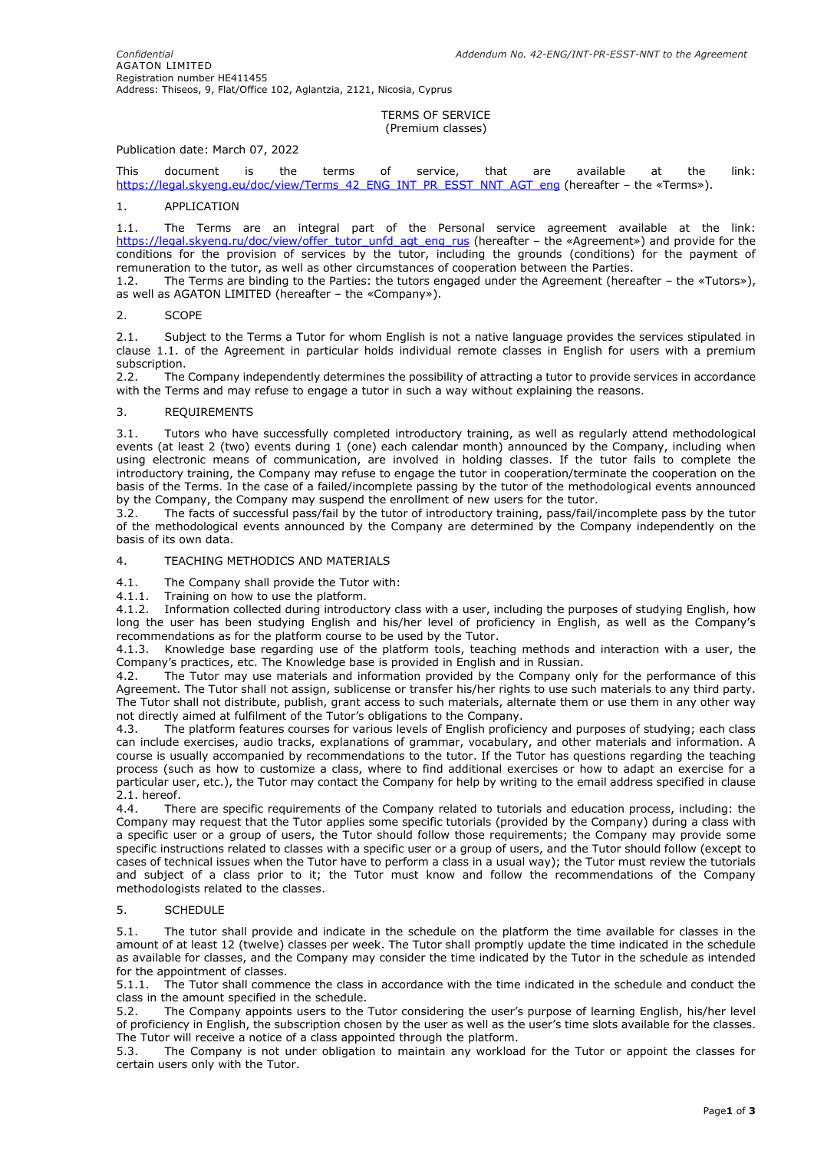### TERMS OF SERVICE (Premium classes)

## Publication date: March 07, 2022

This document is the terms of service, that are available at the link: [https://legal.skyeng.eu/doc/view/Terms\\_42\\_ENG\\_INT\\_PR\\_ESST\\_NNT\\_AGT\\_eng](https://legal.skyeng.eu/doc/view/Terms_42_ENG_INT_PR_ESST_NNT_AGT_eng) (hereafter – the «Terms»).

### 1. APPLICATION

1.1. The Terms are an integral part of the Personal service agreement available at the link: [https://legal.skyeng.ru/doc/view/offer\\_tutor\\_unfd\\_agt\\_eng\\_rus](https://legal.skyeng.ru/doc/view/offer_tutor_unfd_agt_eng_rus) (hereafter – the «Agreement») and provide for the conditions for the provision of services by the tutor, including the grounds (conditions) for the payment of remuneration to the tutor, as well as other circumstances of cooperation between the Parties.

1.2. The Terms are binding to the Parties: the tutors engaged under the Agreement (hereafter – the «Tutors»), as well as AGATON LIMITED (hereafter – the «Company»).

### 2. SCOPE

2.1. Subject to the Terms a Tutor for whom English is not a native language provides the services stipulated in clause 1.1. of the Agreement in particular holds individual remote classes in English for users with a premium subscription.

2.2. The Company independently determines the possibility of attracting a tutor to provide services in accordance with the Terms and may refuse to engage a tutor in such a way without explaining the reasons.

### 3. REQUIREMENTS

3.1. Tutors who have successfully completed introductory training, as well as regularly attend methodological events (at least 2 (two) events during 1 (one) each calendar month) announced by the Company, including when using electronic means of communication, are involved in holding classes. If the tutor fails to complete the introductory training, the Company may refuse to engage the tutor in cooperation/terminate the cooperation on the basis of the Terms. In the case of a failed/incomplete passing by the tutor of the methodological events announced by the Company, the Company may suspend the enrollment of new users for the tutor.

3.2. The facts of successful pass/fail by the tutor of introductory training, pass/fail/incomplete pass by the tutor of the methodological events announced by the Company are determined by the Company independently on the basis of its own data.

# 4. TEACHING METHODICS AND MATERIALS

4.1. The Company shall provide the Tutor with:

4.1.1. Training on how to use the platform.

4.1.2. Information collected during introductory class with a user, including the purposes of studying English, how long the user has been studying English and his/her level of proficiency in English, as well as the Company's recommendations as for the platform course to be used by the Tutor.

4.1.3. Knowledge base regarding use of the platform tools, teaching methods and interaction with a user, the Company's practices, etc. The Knowledge base is provided in English and in Russian.

4.2. The Tutor may use materials and information provided by the Company only for the performance of this Agreement. The Tutor shall not assign, sublicense or transfer his/her rights to use such materials to any third party. The Tutor shall not distribute, publish, grant access to such materials, alternate them or use them in any other way not directly aimed at fulfilment of the Tutor's obligations to the Company.

4.3. The platform features courses for various levels of English proficiency and purposes of studying; each class can include exercises, audio tracks, explanations of grammar, vocabulary, and other materials and information. A course is usually accompanied by recommendations to the tutor. If the Tutor has questions regarding the teaching process (such as how to customize a class, where to find additional exercises or how to adapt an exercise for a particular user, etc.), the Tutor may contact the Company for help by writing to the email address specified in clause 2.1. hereof.

4.4. There are specific requirements of the Company related to tutorials and education process, including: the Company may request that the Tutor applies some specific tutorials (provided by the Company) during a class with a specific user or a group of users, the Tutor should follow those requirements; the Company may provide some specific instructions related to classes with a specific user or a group of users, and the Tutor should follow (except to cases of technical issues when the Tutor have to perform a class in a usual way); the Tutor must review the tutorials and subject of a class prior to it; the Tutor must know and follow the recommendations of the Company methodologists related to the classes.

## 5. SCHEDULE

5.1. The tutor shall provide and indicate in the schedule on the platform the time available for classes in the amount of at least 12 (twelve) classes per week. The Tutor shall promptly update the time indicated in the schedule as available for classes, and the Company may consider the time indicated by the Tutor in the schedule as intended for the appointment of classes.

5.1.1. The Tutor shall commence the class in accordance with the time indicated in the schedule and conduct the class in the amount specified in the schedule.

5.2. The Company appoints users to the Tutor considering the user's purpose of learning English, his/her level of proficiency in English, the subscription chosen by the user as well as the user's time slots available for the classes. The Tutor will receive a notice of a class appointed through the platform.

5.3. The Company is not under obligation to maintain any workload for the Tutor or appoint the classes for certain users only with the Tutor.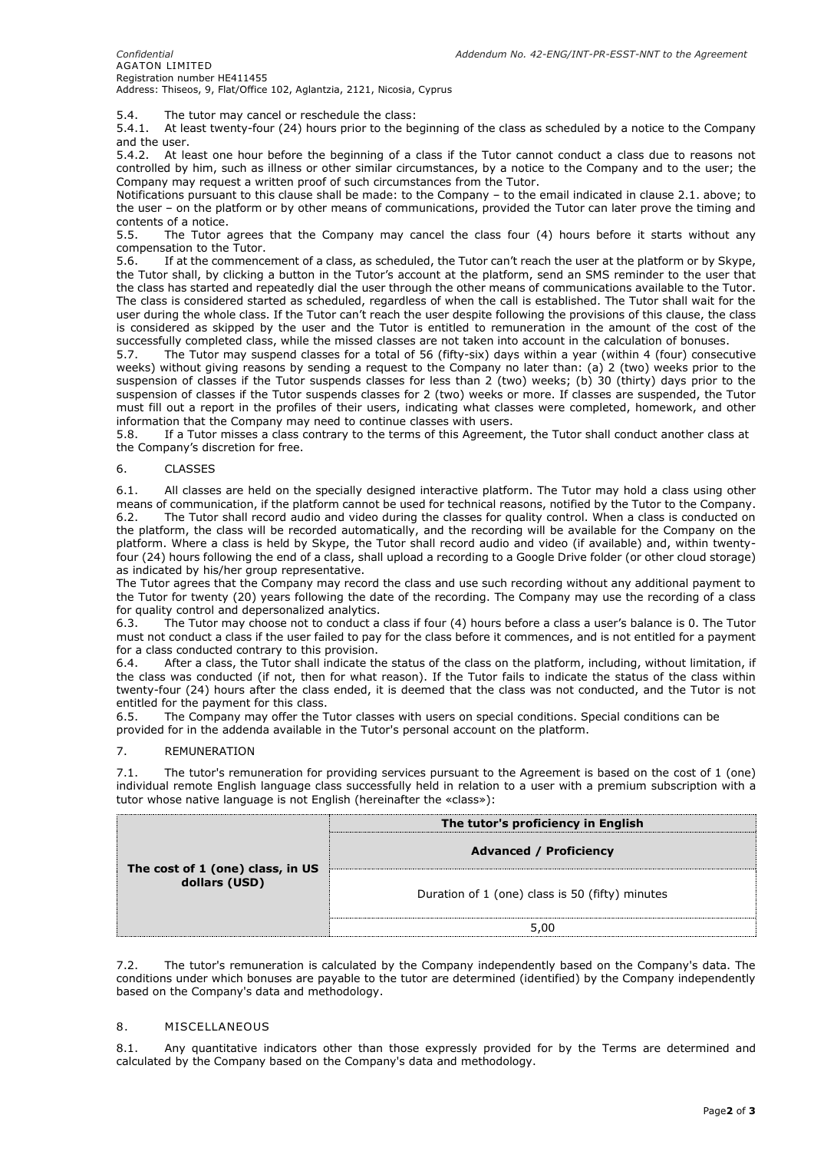5.4. The tutor may cancel or reschedule the class:

5.4.1. At least twenty-four (24) hours prior to the beginning of the class as scheduled by a notice to the Company and the user.

5.4.2. At least one hour before the beginning of a class if the Tutor cannot conduct a class due to reasons not controlled by him, such as illness or other similar circumstances, by a notice to the Company and to the user; the Company may request a written proof of such circumstances from the Tutor.

Notifications pursuant to this clause shall be made: to the Company – to the email indicated in clause 2.1. above; to the user – on the platform or by other means of communications, provided the Tutor can later prove the timing and contents of a notice.<br>5.5. The Tutor a

The Tutor agrees that the Company may cancel the class four (4) hours before it starts without any compensation to the Tutor.

5.6. If at the commencement of a class, as scheduled, the Tutor can't reach the user at the platform or by Skype, the Tutor shall, by clicking a button in the Tutor's account at the platform, send an SMS reminder to the user that the class has started and repeatedly dial the user through the other means of communications available to the Tutor. The class is considered started as scheduled, regardless of when the call is established. The Tutor shall wait for the user during the whole class. If the Tutor can't reach the user despite following the provisions of this clause, the class is considered as skipped by the user and the Tutor is entitled to remuneration in the amount of the cost of the successfully completed class, while the missed classes are not taken into account in the calculation of bonuses.

5.7. The Tutor may suspend classes for a total of 56 (fifty-six) days within a year (within 4 (four) consecutive weeks) without giving reasons by sending a request to the Company no later than: (a) 2 (two) weeks prior to the suspension of classes if the Tutor suspends classes for less than 2 (two) weeks; (b) 30 (thirty) days prior to the suspension of classes if the Tutor suspends classes for 2 (two) weeks or more. If classes are suspended, the Tutor must fill out a report in the profiles of their users, indicating what classes were completed, homework, and other information that the Company may need to continue classes with users.

5.8. If a Tutor misses a class contrary to the terms of this Agreement, the Tutor shall conduct another class at the Company's discretion for free.

# 6. CLASSES

6.1. All classes are held on the specially designed interactive platform. The Tutor may hold a class using other means of communication, if the platform cannot be used for technical reasons, notified by the Tutor to the Company. 6.2. The Tutor shall record audio and video during the classes for quality control. When a class is conducted on the platform, the class will be recorded automatically, and the recording will be available for the Company on the platform. Where a class is held by Skype, the Tutor shall record audio and video (if available) and, within twentyfour (24) hours following the end of a class, shall upload a recording to a Google Drive folder (or other cloud storage) as indicated by his/her group representative.

The Tutor agrees that the Company may record the class and use such recording without any additional payment to the Tutor for twenty (20) years following the date of the recording. The Company may use the recording of a class for quality control and depersonalized analytics.

6.3. The Tutor may choose not to conduct a class if four (4) hours before a class a user's balance is 0. The Tutor must not conduct a class if the user failed to pay for the class before it commences, and is not entitled for a payment for a class conducted contrary to this provision.

6.4. After a class, the Tutor shall indicate the status of the class on the platform, including, without limitation, if the class was conducted (if not, then for what reason). If the Tutor fails to indicate the status of the class within twenty-four (24) hours after the class ended, it is deemed that the class was not conducted, and the Tutor is not entitled for the payment for this class.

6.5. The Company may offer the Tutor classes with users on special conditions. Special conditions can be provided for in the addenda available in the Tutor's personal account on the platform.

### 7. REMUNERATION

7.1. The tutor's remuneration for providing services pursuant to the Agreement is based on the cost of 1 (one) individual remote English language class successfully held in relation to a user with a premium subscription with a tutor whose native language is not English (hereinafter the «class»):

| The cost of 1 (one) class, in US<br>dollars (USD) | The tutor's proficiency in English<br><b>Advanced / Proficiency</b> |
|---------------------------------------------------|---------------------------------------------------------------------|
|                                                   | Duration of 1 (one) class is 50 (fifty) minutes                     |
|                                                   | 5,00                                                                |

7.2. The tutor's remuneration is calculated by the Company independently based on the Company's data. The conditions under which bonuses are payable to the tutor are determined (identified) by the Company independently based on the Company's data and methodology.

### 8. MISCELLANEOUS

8.1. Any quantitative indicators other than those expressly provided for by the Terms are determined and calculated by the Company based on the Company's data and methodology.